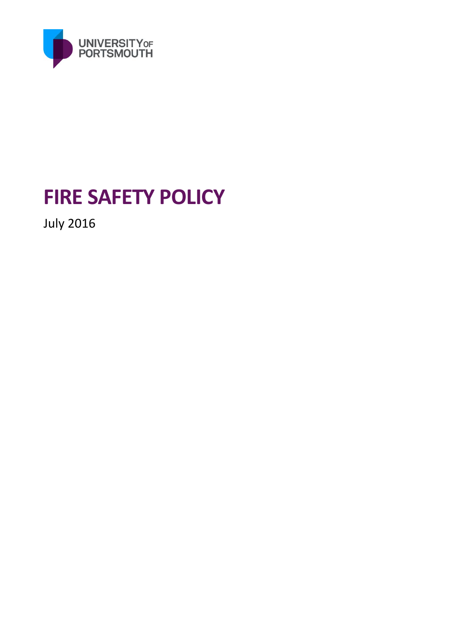

# **FIRE SAFETY POLICY**

July 2016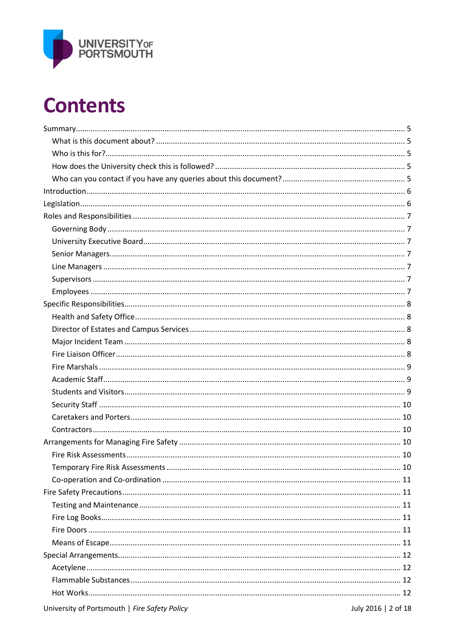

# **Contents**

| University of Portsmouth   Fire Safety Policy | July 2016   2 of 18 |
|-----------------------------------------------|---------------------|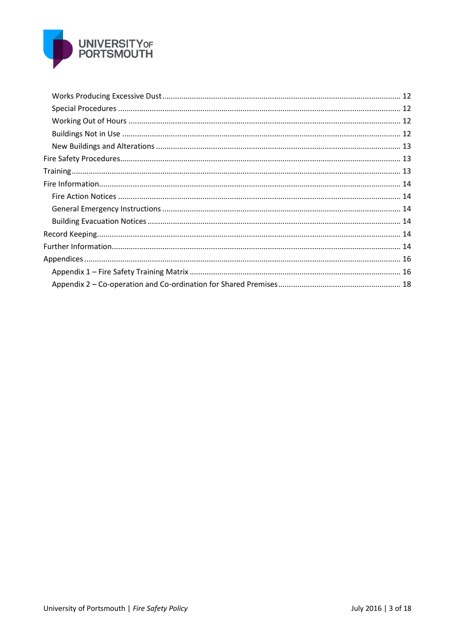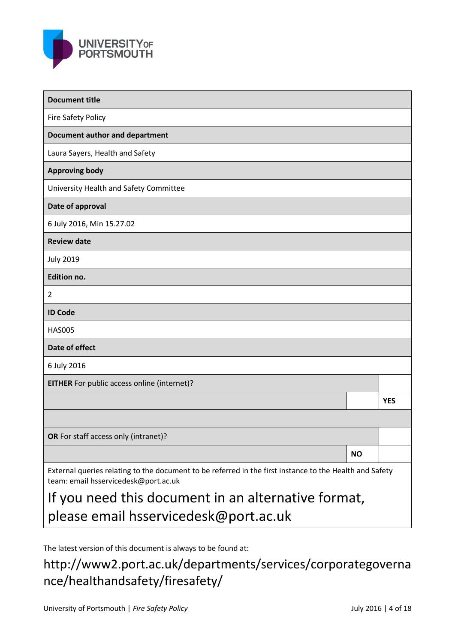

| <b>Document title</b>                                                                                                                           |           |            |  |  |
|-------------------------------------------------------------------------------------------------------------------------------------------------|-----------|------------|--|--|
| <b>Fire Safety Policy</b>                                                                                                                       |           |            |  |  |
| <b>Document author and department</b>                                                                                                           |           |            |  |  |
| Laura Sayers, Health and Safety                                                                                                                 |           |            |  |  |
| <b>Approving body</b>                                                                                                                           |           |            |  |  |
| University Health and Safety Committee                                                                                                          |           |            |  |  |
| Date of approval                                                                                                                                |           |            |  |  |
| 6 July 2016, Min 15.27.02                                                                                                                       |           |            |  |  |
| <b>Review date</b>                                                                                                                              |           |            |  |  |
| <b>July 2019</b>                                                                                                                                |           |            |  |  |
| <b>Edition no.</b>                                                                                                                              |           |            |  |  |
| 2                                                                                                                                               |           |            |  |  |
| <b>ID Code</b>                                                                                                                                  |           |            |  |  |
| <b>HAS005</b>                                                                                                                                   |           |            |  |  |
| Date of effect                                                                                                                                  |           |            |  |  |
| 6 July 2016                                                                                                                                     |           |            |  |  |
| EITHER For public access online (internet)?                                                                                                     |           |            |  |  |
|                                                                                                                                                 |           | <b>YES</b> |  |  |
|                                                                                                                                                 |           |            |  |  |
| OR For staff access only (intranet)?                                                                                                            |           |            |  |  |
|                                                                                                                                                 | <b>NO</b> |            |  |  |
| External queries relating to the document to be referred in the first instance to the Health and Safety<br>team: email hsservicedesk@port.ac.uk |           |            |  |  |
| If you need this document in an alternative format                                                                                              |           |            |  |  |

If you need this document in an alternative format, please email hsservicedesk@port.ac.uk

The latest version of this document is always to be found at:

http://www2.port.ac.uk/departments/services/corporategoverna nce/healthandsafety/firesafety/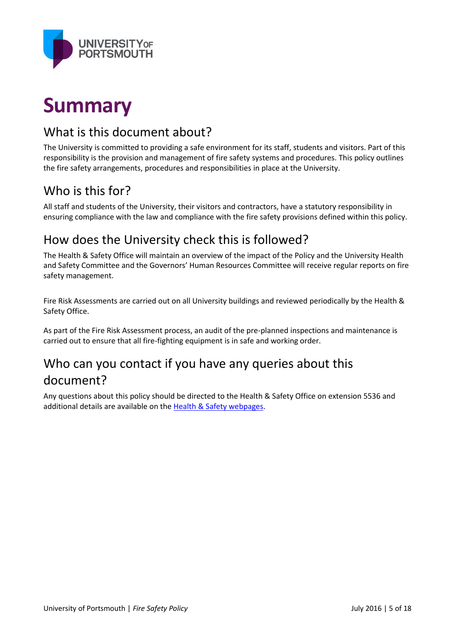

# **Summary**

### What is this document about?

The University is committed to providing a safe environment for its staff, students and visitors. Part of this responsibility is the provision and management of fire safety systems and procedures. This policy outlines the fire safety arrangements, procedures and responsibilities in place at the University.

## Who is this for?

All staff and students of the University, their visitors and contractors, have a statutory responsibility in ensuring compliance with the law and compliance with the fire safety provisions defined within this policy.

### How does the University check this is followed?

The Health & Safety Office will maintain an overview of the impact of the Policy and the University Health and Safety Committee and the Governors' Human Resources Committee will receive regular reports on fire safety management.

Fire Risk Assessments are carried out on all University buildings and reviewed periodically by the Health & Safety Office.

As part of the Fire Risk Assessment process, an audit of the pre-planned inspections and maintenance is carried out to ensure that all fire-fighting equipment is in safe and working order.

# Who can you contact if you have any queries about this document?

Any questions about this policy should be directed to the Health & Safety Office on extension 5536 and additional details are available on the [Health & Safety webpages.](http://www2.port.ac.uk/departments/services/corporategovernance/healthandsafety/firesafety/)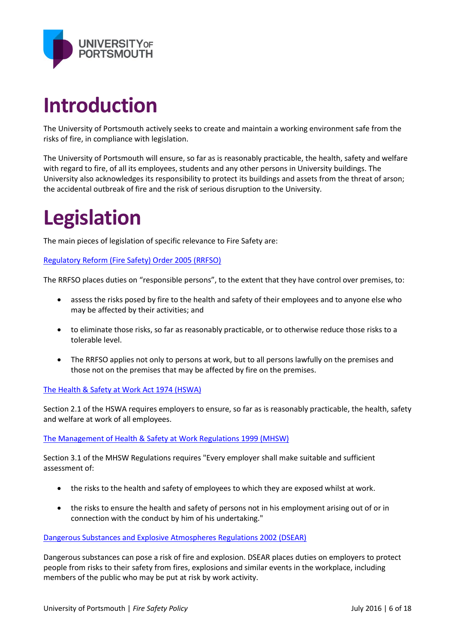

# **Introduction**

The University of Portsmouth actively seeks to create and maintain a working environment safe from the risks of fire, in compliance with legislation.

The University of Portsmouth will ensure, so far as is reasonably practicable, the health, safety and welfare with regard to fire, of all its employees, students and any other persons in University buildings. The University also acknowledges its responsibility to protect its buildings and assets from the threat of arson; the accidental outbreak of fire and the risk of serious disruption to the University.

# **Legislation**

The main pieces of legislation of specific relevance to Fire Safety are:

[Regulatory Reform \(Fire Safety\) Order 2005 \(RRFSO\)](http://www.legislation.gov.uk/uksi/2005/1541/contents/made)

The RRFSO places duties on "responsible persons", to the extent that they have control over premises, to:

- assess the risks posed by fire to the health and safety of their employees and to anyone else who may be affected by their activities; and
- to eliminate those risks, so far as reasonably practicable, or to otherwise reduce those risks to a tolerable level.
- The RRFSO applies not only to persons at work, but to all persons lawfully on the premises and those not on the premises that may be affected by fire on the premises.

[The Health & Safety at Work Act 1974 \(HSWA\)](http://www.legislation.gov.uk/ukpga/1974/37/contents)

Section 2.1 of the HSWA requires employers to ensure, so far as is reasonably practicable, the health, safety and welfare at work of all employees.

[The Management of Health & Safety at Work Regulations 1999 \(MHSW\)](http://www.legislation.gov.uk/uksi/1999/3242/contents/madehttp:/www.legislation.gov.uk/uksi/1999/3242/contents/made)

Section 3.1 of the MHSW Regulations requires "Every employer shall make suitable and sufficient assessment of:

- the risks to the health and safety of employees to which they are exposed whilst at work.
- the risks to ensure the health and safety of persons not in his employment arising out of or in connection with the conduct by him of his undertaking."

[Dangerous Substances and Explosive Atmospheres Regulations 2002 \(DSEAR\)](http://www.legislation.gov.uk/uksi/2002/2776/contents/made)

Dangerous substances can pose a risk of fire and explosion. DSEAR places duties on employers to protect people from risks to their safety from fires, explosions and similar events in the workplace, including members of the public who may be put at risk by work activity.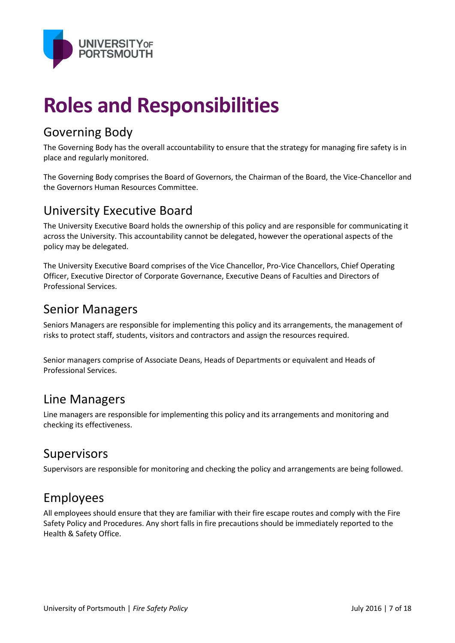

# **Roles and Responsibilities**

# Governing Body

The Governing Body has the overall accountability to ensure that the strategy for managing fire safety is in place and regularly monitored.

The Governing Body comprises the Board of Governors, the Chairman of the Board, the Vice-Chancellor and the Governors Human Resources Committee.

### University Executive Board

The University Executive Board holds the ownership of this policy and are responsible for communicating it across the University. This accountability cannot be delegated, however the operational aspects of the policy may be delegated.

The University Executive Board comprises of the Vice Chancellor, Pro-Vice Chancellors, Chief Operating Officer, Executive Director of Corporate Governance, Executive Deans of Faculties and Directors of Professional Services.

#### Senior Managers

Seniors Managers are responsible for implementing this policy and its arrangements, the management of risks to protect staff, students, visitors and contractors and assign the resources required.

Senior managers comprise of Associate Deans, Heads of Departments or equivalent and Heads of Professional Services.

#### Line Managers

Line managers are responsible for implementing this policy and its arrangements and monitoring and checking its effectiveness.

#### Supervisors

Supervisors are responsible for monitoring and checking the policy and arrangements are being followed.

### Employees

All employees should ensure that they are familiar with their fire escape routes and comply with the Fire Safety Policy and Procedures. Any short falls in fire precautions should be immediately reported to the Health & Safety Office.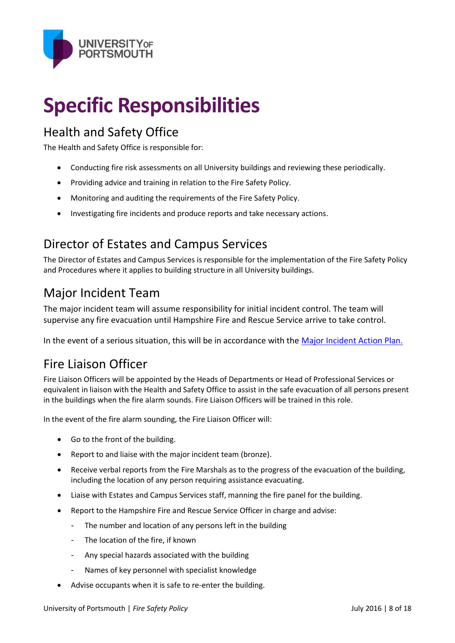

# **Specific Responsibilities**

### Health and Safety Office

The Health and Safety Office is responsible for:

- Conducting fire risk assessments on all University buildings and reviewing these periodically.
- Providing advice and training in relation to the Fire Safety Policy.
- Monitoring and auditing the requirements of the Fire Safety Policy.
- Investigating fire incidents and produce reports and take necessary actions.

### Director of Estates and Campus Services

The Director of Estates and Campus Services is responsible for the implementation of the Fire Safety Policy and Procedures where it applies to building structure in all University buildings.

## Major Incident Team

The major incident team will assume responsibility for initial incident control. The team will supervise any fire evacuation until Hampshire Fire and Rescue Service arrive to take control.

In the event of a serious situation, this will be in accordance with the [Major Incident Action Plan.](http://www.port.ac.uk/accesstoinformation/policies/directorate/filetodownload,191586,en.pdf)

### Fire Liaison Officer

Fire Liaison Officers will be appointed by the Heads of Departments or Head of Professional Services or equivalent in liaison with the Health and Safety Office to assist in the safe evacuation of all persons present in the buildings when the fire alarm sounds. Fire Liaison Officers will be trained in this role.

In the event of the fire alarm sounding, the Fire Liaison Officer will:

- Go to the front of the building.
- Report to and liaise with the major incident team (bronze).
- Receive verbal reports from the Fire Marshals as to the progress of the evacuation of the building, including the location of any person requiring assistance evacuating.
- Liaise with Estates and Campus Services staff, manning the fire panel for the building.
- Report to the Hampshire Fire and Rescue Service Officer in charge and advise:
	- The number and location of any persons left in the building
	- The location of the fire, if known
	- Any special hazards associated with the building
	- Names of key personnel with specialist knowledge
- Advise occupants when it is safe to re-enter the building.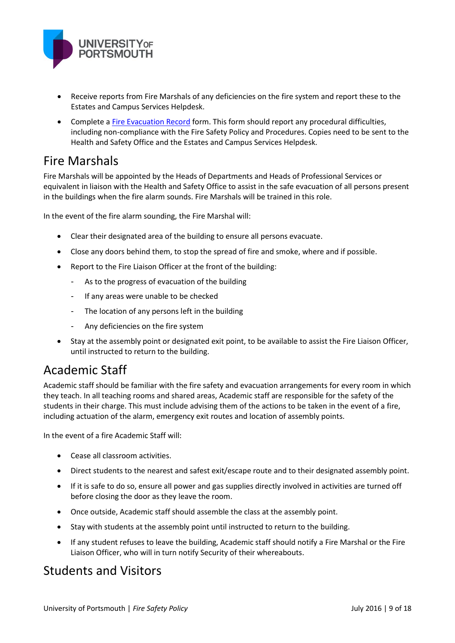

- Receive reports from Fire Marshals of any deficiencies on the fire system and report these to the Estates and Campus Services Helpdesk.
- Complete [a Fire Evacuation Record](http://www2.port.ac.uk/departments/services/corporategovernance/healthandsafety/firesafety/) form. This form should report any procedural difficulties, including non-compliance with the Fire Safety Policy and Procedures. Copies need to be sent to the Health and Safety Office and the Estates and Campus Services Helpdesk.

#### Fire Marshals

Fire Marshals will be appointed by the Heads of Departments and Heads of Professional Services or equivalent in liaison with the Health and Safety Office to assist in the safe evacuation of all persons present in the buildings when the fire alarm sounds. Fire Marshals will be trained in this role.

In the event of the fire alarm sounding, the Fire Marshal will:

- Clear their designated area of the building to ensure all persons evacuate.
- Close any doors behind them, to stop the spread of fire and smoke, where and if possible.
- Report to the Fire Liaison Officer at the front of the building:
	- As to the progress of evacuation of the building
	- If any areas were unable to be checked
	- The location of any persons left in the building
	- Any deficiencies on the fire system
- Stay at the assembly point or designated exit point, to be available to assist the Fire Liaison Officer, until instructed to return to the building.

### Academic Staff

Academic staff should be familiar with the fire safety and evacuation arrangements for every room in which they teach. In all teaching rooms and shared areas, Academic staff are responsible for the safety of the students in their charge. This must include advising them of the actions to be taken in the event of a fire, including actuation of the alarm, emergency exit routes and location of assembly points.

In the event of a fire Academic Staff will:

- Cease all classroom activities.
- Direct students to the nearest and safest exit/escape route and to their designated assembly point.
- If it is safe to do so, ensure all power and gas supplies directly involved in activities are turned off before closing the door as they leave the room.
- Once outside, Academic staff should assemble the class at the assembly point.
- Stay with students at the assembly point until instructed to return to the building.
- If any student refuses to leave the building, Academic staff should notify a Fire Marshal or the Fire Liaison Officer, who will in turn notify Security of their whereabouts.

#### Students and Visitors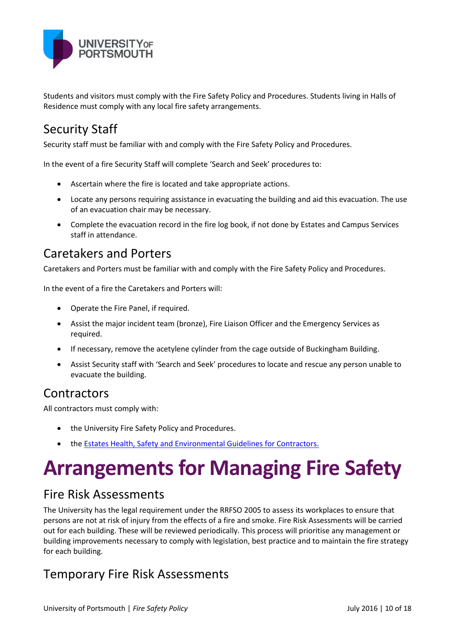

Students and visitors must comply with the Fire Safety Policy and Procedures. Students living in Halls of Residence must comply with any local fire safety arrangements.

# Security Staff

Security staff must be familiar with and comply with the Fire Safety Policy and Procedures.

In the event of a fire Security Staff will complete 'Search and Seek' procedures to:

- Ascertain where the fire is located and take appropriate actions.
- Locate any persons requiring assistance in evacuating the building and aid this evacuation. The use of an evacuation chair may be necessary.
- Complete the evacuation record in the fire log book, if not done by Estates and Campus Services staff in attendance.

#### Caretakers and Porters

Caretakers and Porters must be familiar with and comply with the Fire Safety Policy and Procedures.

In the event of a fire the Caretakers and Porters will:

- Operate the Fire Panel, if required.
- Assist the major incident team (bronze), Fire Liaison Officer and the Emergency Services as required.
- If necessary, remove the acetylene cylinder from the cage outside of Buckingham Building.
- Assist Security staff with 'Search and Seek' procedures to locate and rescue any person unable to evacuate the building.

#### Contractors

All contractors must comply with:

- the University Fire Safety Policy and Procedures.
- the [Estates Health, Safety and Environmental Guidelines for Contractors.](http://www2.port.ac.uk/intranet/healthandsafety/downloads/filetodownload,203427,en.pdf)

# **Arrangements for Managing Fire Safety**

### Fire Risk Assessments

The University has the legal requirement under the RRFSO 2005 to assess its workplaces to ensure that persons are not at risk of injury from the effects of a fire and smoke. Fire Risk Assessments will be carried out for each building. These will be reviewed periodically. This process will prioritise any management or building improvements necessary to comply with legislation, best practice and to maintain the fire strategy for each building.

### Temporary Fire Risk Assessments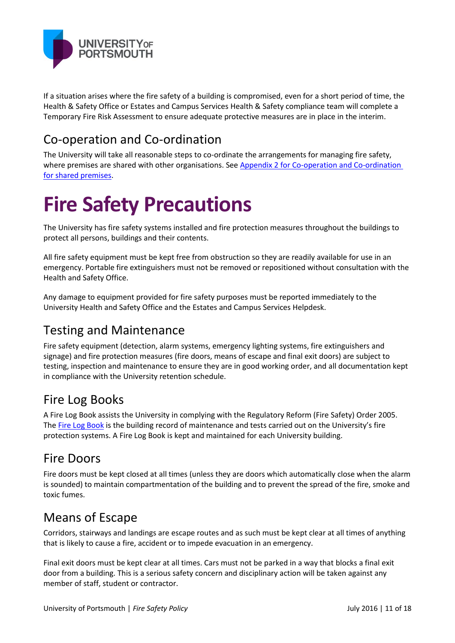

If a situation arises where the fire safety of a building is compromised, even for a short period of time, the Health & Safety Office or Estates and Campus Services Health & Safety compliance team will complete a Temporary Fire Risk Assessment to ensure adequate protective measures are in place in the interim.

## Co-operation and Co-ordination

The University will take all reasonable steps to co-ordinate the arrangements for managing fire safety, where premises are shared with other organisations. See [Appendix 2 for Co-operation and Co-ordination](#page-17-0)  [for shared premises.](#page-17-0)

# **Fire Safety Precautions**

The University has fire safety systems installed and fire protection measures throughout the buildings to protect all persons, buildings and their contents.

All fire safety equipment must be kept free from obstruction so they are readily available for use in an emergency. Portable fire extinguishers must not be removed or repositioned without consultation with the Health and Safety Office.

Any damage to equipment provided for fire safety purposes must be reported immediately to the University Health and Safety Office and the Estates and Campus Services Helpdesk.

## Testing and Maintenance

Fire safety equipment (detection, alarm systems, emergency lighting systems, fire extinguishers and signage) and fire protection measures (fire doors, means of escape and final exit doors) are subject to testing, inspection and maintenance to ensure they are in good working order, and all documentation kept in compliance with the University retention schedule.

## Fire Log Books

A Fire Log Book assists the University in complying with the Regulatory Reform (Fire Safety) Order 2005. The [Fire Log Book](http://www2.port.ac.uk/departments/services/corporategovernance/healthandsafety/firesafety/firelogbooks/) is the building record of maintenance and tests carried out on the University's fire protection systems. A Fire Log Book is kept and maintained for each University building.

### Fire Doors

Fire doors must be kept closed at all times (unless they are doors which automatically close when the alarm is sounded) to maintain compartmentation of the building and to prevent the spread of the fire, smoke and toxic fumes.

## Means of Escape

Corridors, stairways and landings are escape routes and as such must be kept clear at all times of anything that is likely to cause a fire, accident or to impede evacuation in an emergency.

Final exit doors must be kept clear at all times. Cars must not be parked in a way that blocks a final exit door from a building. This is a serious safety concern and disciplinary action will be taken against any member of staff, student or contractor.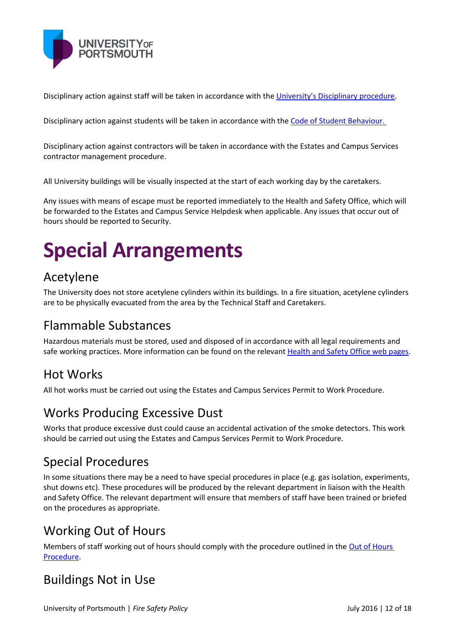

Disciplinary action against staff will be taken in accordance with the [University's Disciplinary procedure](http://policies.docstore.port.ac.uk/policy-048.pdf).

Disciplinary action against students will be taken in accordance with the Code of [Student Behaviour.](http://policies.docstore.port.ac.uk/policy-053.pdf)

Disciplinary action against contractors will be taken in accordance with the Estates and Campus Services contractor management procedure.

All University buildings will be visually inspected at the start of each working day by the caretakers.

Any issues with means of escape must be reported immediately to the Health and Safety Office, which will be forwarded to the Estates and Campus Service Helpdesk when applicable. Any issues that occur out of hours should be reported to Security.

# **Special Arrangements**

### Acetylene

The University does not store acetylene cylinders within its buildings. In a fire situation, acetylene cylinders are to be physically evacuated from the area by the Technical Staff and Caretakers.

## Flammable Substances

Hazardous materials must be stored, used and disposed of in accordance with all legal requirements and safe working practices. More information can be found on the relevant [Health and Safety Office web pages.](http://www2.port.ac.uk/departments/services/corporategovernance/healthandsafety/atoz/dsear/)

### Hot Works

All hot works must be carried out using the Estates and Campus Services Permit to Work Procedure.

### Works Producing Excessive Dust

Works that produce excessive dust could cause an accidental activation of the smoke detectors. This work should be carried out using the Estates and Campus Services Permit to Work Procedure.

### Special Procedures

In some situations there may be a need to have special procedures in place (e.g. gas isolation, experiments, shut downs etc). These procedures will be produced by the relevant department in liaison with the Health and Safety Office. The relevant department will ensure that members of staff have been trained or briefed on the procedures as appropriate.

## Working Out of Hours

Members of staff working out of hours should comply with the procedure outlined in the Out of Hours [Procedure.](http://www2.port.ac.uk/departments/services/corporategovernance/healthandsafety/atoz/outofhoursworking/filetodownload,176291,en.pdf)

### Buildings Not in Use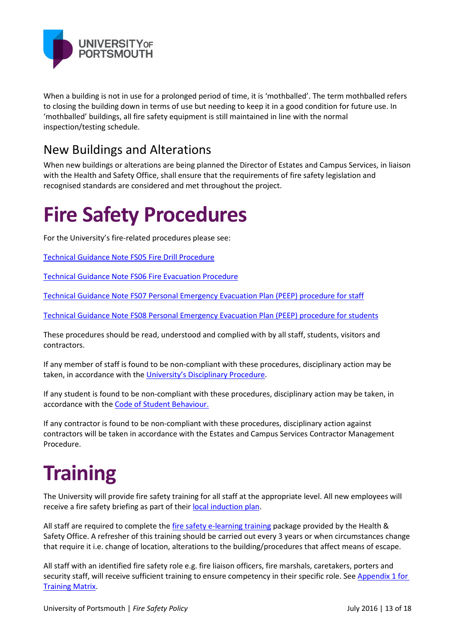

When a building is not in use for a prolonged period of time, it is 'mothballed'. The term mothballed refers to closing the building down in terms of use but needing to keep it in a good condition for future use. In 'mothballed' buildings, all fire safety equipment is still maintained in line with the normal inspection/testing schedule.

### New Buildings and Alterations

When new buildings or alterations are being planned the Director of Estates and Campus Services, in liaison with the Health and Safety Office, shall ensure that the requirements of fire safety legislation and recognised standards are considered and met throughout the project.

# **Fire Safety Procedures**

For the University's fire-related procedures please see:

[Technical Guidance Note FS05 Fire Drill Procedure](http://www.port.ac.uk/departments/services/humanresources/healthandsafety/downloads/filetodownload,195122,en.pdf)

[Technical Guidance Note FS06 Fire Evacuation Procedure](http://www.port.ac.uk/departments/services/humanresources/healthandsafety/downloads/filetodownload,195123,en.pdf)

[Technical Guidance Note FS07 Personal Emergency Evacuation Plan \(PEEP\) procedure for staff](http://www.port.ac.uk/departments/services/humanresources/healthandsafety/firesafety/peep/filetodownload,195124,en.pdf)

[Technical Guidance Note FS08 Personal Emergency Evacuation Plan \(PEEP\) procedure for students](http://www.port.ac.uk/departments/services/humanresources/healthandsafety/firesafety/peep/filetodownload,195125,en.pdf)

These procedures should be read, understood and complied with by all staff, students, visitors and contractors.

If any member of staff is found to be non-compliant with these procedures, disciplinary action may be taken, in accordance with the [University's Disciplinary](http://policies.docstore.port.ac.uk/policy-048.pdf) Procedure.

If any student is found to be non-compliant with these procedures, disciplinary action may be taken, in accordance with the [Code of Student Behaviour.](http://policies.docstore.port.ac.uk/policy-053.pdf)

If any contractor is found to be non-compliant with these procedures, disciplinary action against contractors will be taken in accordance with the Estates and Campus Services Contractor Management Procedure.

# **Training**

The University will provide fire safety training for all staff at the appropriate level. All new employees will receive a fire safety briefing as part of their [local induction plan.](http://www2.port.ac.uk/departments/services/humanresources/landdhomepage/landddownloads/filetodownload,201713,en.pdf)

All staff are required to complete the [fire safety e-learning training](http://www2.port.ac.uk/departments/services/corporategovernance/healthandsafety/training/fireawareness/) package provided by the Health & Safety Office. A refresher of this training should be carried out every 3 years or when circumstances change that require it i.e. change of location, alterations to the building/procedures that affect means of escape.

All staff with an identified fire safety role e.g. fire liaison officers, fire marshals, caretakers, porters and security staff, will receive sufficient training to ensure competency in their specific role. See Appendix 1 for [Training Matrix.](#page-15-0)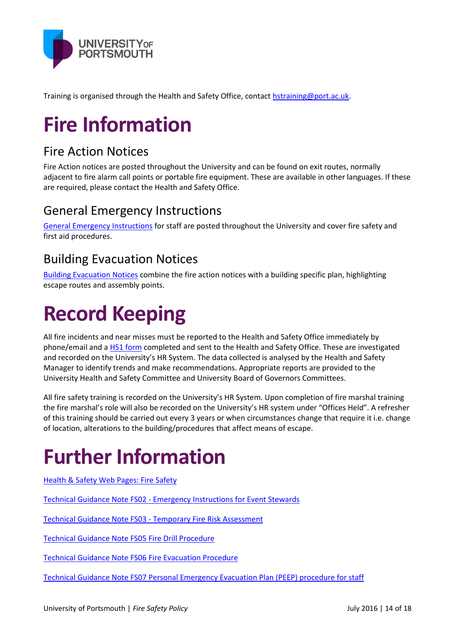

Training is organised through the Health and Safety Office, contac[t hstraining@port.ac.uk.](mailto:hstraining@port.ac.uk)

# **Fire Information**

# Fire Action Notices

Fire Action notices are posted throughout the University and can be found on exit routes, normally adjacent to fire alarm call points or portable fire equipment. These are available in other languages. If these are required, please contact the Health and Safety Office.

# General Emergency Instructions

[General Emergency Instructions](http://www2.port.ac.uk/departments/services/corporategovernance/healthandsafety/downloads/filetodownload,177576,en.pdf) for staff are posted throughout the University and cover fire safety and first aid procedures.

## Building Evacuation Notices

[Building Evacuation Notices](http://www2.port.ac.uk/departments/services/corporategovernance/healthandsafety/firesafety/firemaps/) combine the fire action notices with a building specific plan, highlighting escape routes and assembly points.

# **Record Keeping**

All fire incidents and near misses must be reported to the Health and Safety Office immediately by phone/email and a [HS1 form](http://www2.port.ac.uk/departments/services/corporategovernance/healthandsafety/downloads/filetodownload,166483,en.pdf) completed and sent to the Health and Safety Office. These are investigated and recorded on the University's HR System. The data collected is analysed by the Health and Safety Manager to identify trends and make recommendations. Appropriate reports are provided to the University Health and Safety Committee and University Board of Governors Committees.

All fire safety training is recorded on the University's HR System. Upon completion of fire marshal training the fire marshal's role will also be recorded on the University's HR system under "Offices Held". A refresher of this training should be carried out every 3 years or when circumstances change that require it i.e. change of location, alterations to the building/procedures that affect means of escape.

# **Further Information**

[Health & Safety Web Pages: Fire Safety](http://www.port.ac.uk/departments/services/humanresources/healthandsafety/firesafety/onlinefiretraining/)

Technical Guidance Note FS02 - [Emergency Instructions for Event Stewards](http://www.port.ac.uk/departments/services/humanresources/healthandsafety/firesafety/eventstewards/)

Technical Guidance Note FS03 - [Temporary Fire Risk Assessment](http://www.port.ac.uk/departments/services/humanresources/healthandsafety/firesafety/fireriskassessments/filetodownload,147573,en.docx)

[Technical Guidance Note FS05 Fire Drill Procedure](http://www.port.ac.uk/departments/services/humanresources/healthandsafety/downloads/filetodownload,195122,en.pdf)

[Technical Guidance Note FS06 Fire Evacuation Procedure](http://www.port.ac.uk/departments/services/humanresources/healthandsafety/downloads/filetodownload,195123,en.pdf)

[Technical Guidance Note FS07 Personal Emergency Evacuation Plan \(PEEP\) procedure for staff](http://www.port.ac.uk/departments/services/humanresources/healthandsafety/firesafety/peep/filetodownload,195124,en.pdf)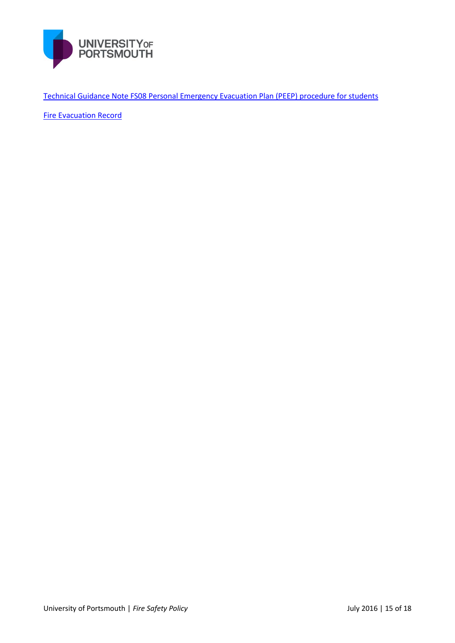

[Technical Guidance Note FS08 Personal Emergency Evacuation Plan \(PEEP\) procedure for students](http://www.port.ac.uk/departments/services/humanresources/healthandsafety/firesafety/peep/filetodownload,195125,en.pdf)

[Fire Evacuation Record](http://www.port.ac.uk/departments/services/humanresources/healthandsafety/downloads/filetodownload,165553,en.docx)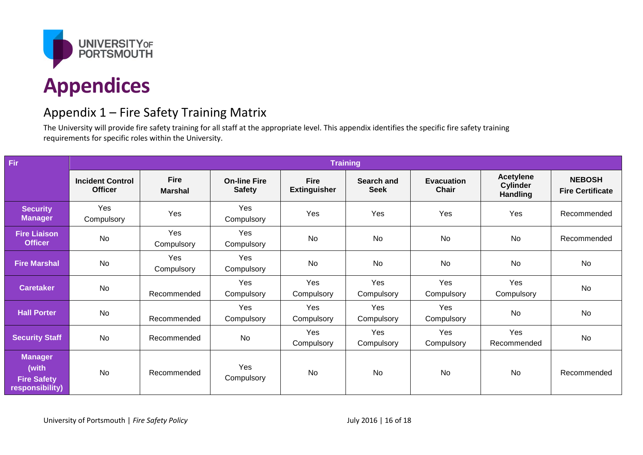

## Appendix 1 – Fire Safety Training Matrix

The University will provide fire safety training for all staff at the appropriate level. This appendix identifies the specific fire safety training requirements for specific roles within the University.

<span id="page-15-0"></span>

| Fir                                                              | <b>Training</b>                           |                               |                                      |                                    |                                  |                                   |                                                        |                                          |
|------------------------------------------------------------------|-------------------------------------------|-------------------------------|--------------------------------------|------------------------------------|----------------------------------|-----------------------------------|--------------------------------------------------------|------------------------------------------|
|                                                                  | <b>Incident Control</b><br><b>Officer</b> | <b>Fire</b><br><b>Marshal</b> | <b>On-line Fire</b><br><b>Safety</b> | <b>Fire</b><br><b>Extinguisher</b> | <b>Search and</b><br><b>Seek</b> | <b>Evacuation</b><br><b>Chair</b> | <b>Acetylene</b><br><b>Cylinder</b><br><b>Handling</b> | <b>NEBOSH</b><br><b>Fire Certificate</b> |
| <b>Security</b><br><b>Manager</b>                                | Yes<br>Compulsory                         | Yes                           | Yes<br>Compulsory                    | Yes                                | Yes                              | Yes                               | Yes                                                    | Recommended                              |
| <b>Fire Liaison</b><br><b>Officer</b>                            | <b>No</b>                                 | Yes<br>Compulsory             | Yes<br>Compulsory                    | <b>No</b>                          | <b>No</b>                        | <b>No</b>                         | <b>No</b>                                              | Recommended                              |
| <b>Fire Marshal</b>                                              | No                                        | Yes<br>Compulsory             | Yes<br>Compulsory                    | No                                 | <b>No</b>                        | No                                | No                                                     | No                                       |
| <b>Caretaker</b>                                                 | No                                        | Recommended                   | Yes<br>Compulsory                    | Yes<br>Compulsory                  | Yes<br>Compulsory                | Yes<br>Compulsory                 | Yes<br>Compulsory                                      | No                                       |
| <b>Hall Porter</b>                                               | <b>No</b>                                 | Recommended                   | Yes<br>Compulsory                    | Yes<br>Compulsory                  | Yes<br>Compulsory                | Yes<br>Compulsory                 | <b>No</b>                                              | No                                       |
| <b>Security Staff</b>                                            | <b>No</b>                                 | Recommended                   | <b>No</b>                            | Yes<br>Compulsory                  | Yes<br>Compulsory                | Yes<br>Compulsory                 | Yes<br>Recommended                                     | No                                       |
| <b>Manager</b><br>(with<br><b>Fire Safety</b><br>responsibility) | <b>No</b>                                 | Recommended                   | Yes<br>Compulsory                    | <b>No</b>                          | <b>No</b>                        | <b>No</b>                         | No                                                     | Recommended                              |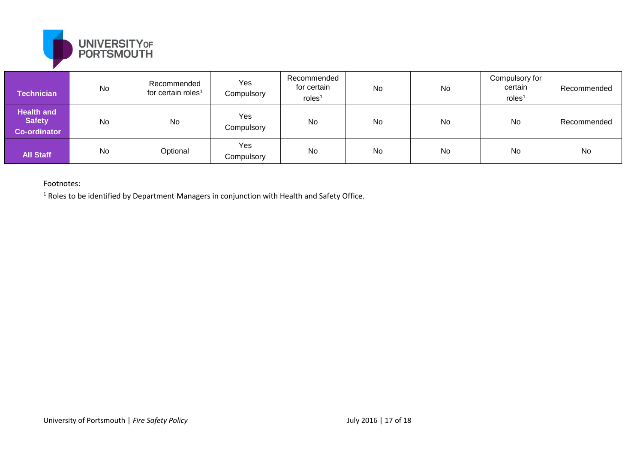

| <b>Technician</b>                                         | No | Recommended<br>for certain roles <sup>1</sup> | Yes<br>Compulsory | Recommended<br>for certain<br>roles <sup>1</sup> | No | No | Compulsory for<br>certain<br>roles <sup>1</sup> | Recommended |
|-----------------------------------------------------------|----|-----------------------------------------------|-------------------|--------------------------------------------------|----|----|-------------------------------------------------|-------------|
| <b>Health and</b><br><b>Safety</b><br><b>Co-ordinator</b> | No | No                                            | Yes<br>Compulsory | No                                               | No | No | No                                              | Recommended |
| <b>All Staff</b>                                          | No | Optional                                      | Yes<br>Compulsory | No                                               | No | No | No                                              | <b>No</b>   |

Footnotes:

<sup>1</sup> Roles to be identified by Department Managers in conjunction with Health and Safety Office.